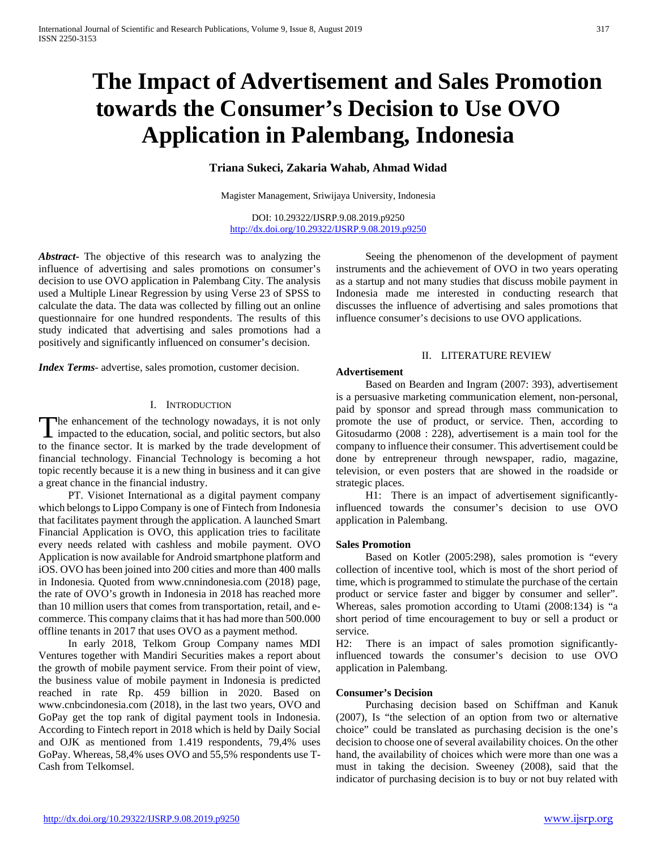# **The Impact of Advertisement and Sales Promotion towards the Consumer's Decision to Use OVO Application in Palembang, Indonesia**

## **Triana Sukeci, Zakaria Wahab, Ahmad Widad**

Magister Management, Sriwijaya University, Indonesia

DOI: 10.29322/IJSRP.9.08.2019.p9250 <http://dx.doi.org/10.29322/IJSRP.9.08.2019.p9250>

*Abstract***-** The objective of this research was to analyzing the influence of advertising and sales promotions on consumer's decision to use OVO application in Palembang City. The analysis used a Multiple Linear Regression by using Verse 23 of SPSS to calculate the data. The data was collected by filling out an online questionnaire for one hundred respondents. The results of this study indicated that advertising and sales promotions had a positively and significantly influenced on consumer's decision.

*Index Terms*- advertise, sales promotion, customer decision.

#### I. INTRODUCTION

The enhancement of the technology nowadays, it is not only The enhancement of the technology nowadays, it is not only impacted to the education, social, and politic sectors, but also to the finance sector. It is marked by the trade development of financial technology. Financial Technology is becoming a hot topic recently because it is a new thing in business and it can give a great chance in the financial industry.

 PT. Visionet International as a digital payment company which belongs to Lippo Company is one of Fintech from Indonesia that facilitates payment through the application. A launched Smart Financial Application is OVO, this application tries to facilitate every needs related with cashless and mobile payment. OVO Application is now available for Android smartphone platform and iOS. OVO has been joined into 200 cities and more than 400 malls in Indonesia. Quoted from www.cnnindonesia.com (2018) page, the rate of OVO's growth in Indonesia in 2018 has reached more than 10 million users that comes from transportation, retail, and ecommerce. This company claims that it has had more than 500.000 offline tenants in 2017 that uses OVO as a payment method.

 In early 2018, Telkom Group Company names MDI Ventures together with Mandiri Securities makes a report about the growth of mobile payment service. From their point of view, the business value of mobile payment in Indonesia is predicted reached in rate Rp. 459 billion in 2020. Based on www.cnbcindonesia.com (2018), in the last two years, OVO and GoPay get the top rank of digital payment tools in Indonesia. According to Fintech report in 2018 which is held by Daily Social and OJK as mentioned from 1.419 respondents, 79,4% uses GoPay. Whereas, 58,4% uses OVO and 55,5% respondents use T-Cash from Telkomsel.

 Seeing the phenomenon of the development of payment instruments and the achievement of OVO in two years operating as a startup and not many studies that discuss mobile payment in Indonesia made me interested in conducting research that discusses the influence of advertising and sales promotions that influence consumer's decisions to use OVO applications.

#### II. LITERATURE REVIEW

## **Advertisement**

 Based on Bearden and Ingram (2007: 393), advertisement is a persuasive marketing communication element, non-personal, paid by sponsor and spread through mass communication to promote the use of product, or service. Then, according to Gitosudarmo (2008 : 228), advertisement is a main tool for the company to influence their consumer. This advertisement could be done by entrepreneur through newspaper, radio, magazine, television, or even posters that are showed in the roadside or strategic places.

 H1: There is an impact of advertisement significantlyinfluenced towards the consumer's decision to use OVO application in Palembang.

#### **Sales Promotion**

 Based on Kotler (2005:298), sales promotion is "every collection of incentive tool, which is most of the short period of time, which is programmed to stimulate the purchase of the certain product or service faster and bigger by consumer and seller". Whereas, sales promotion according to Utami (2008:134) is "a short period of time encouragement to buy or sell a product or service.

H2: There is an impact of sales promotion significantlyinfluenced towards the consumer's decision to use OVO application in Palembang.

#### **Consumer's Decision**

 Purchasing decision based on Schiffman and Kanuk (2007), Is "the selection of an option from two or alternative choice" could be translated as purchasing decision is the one's decision to choose one of several availability choices. On the other hand, the availability of choices which were more than one was a must in taking the decision. Sweeney (2008), said that the indicator of purchasing decision is to buy or not buy related with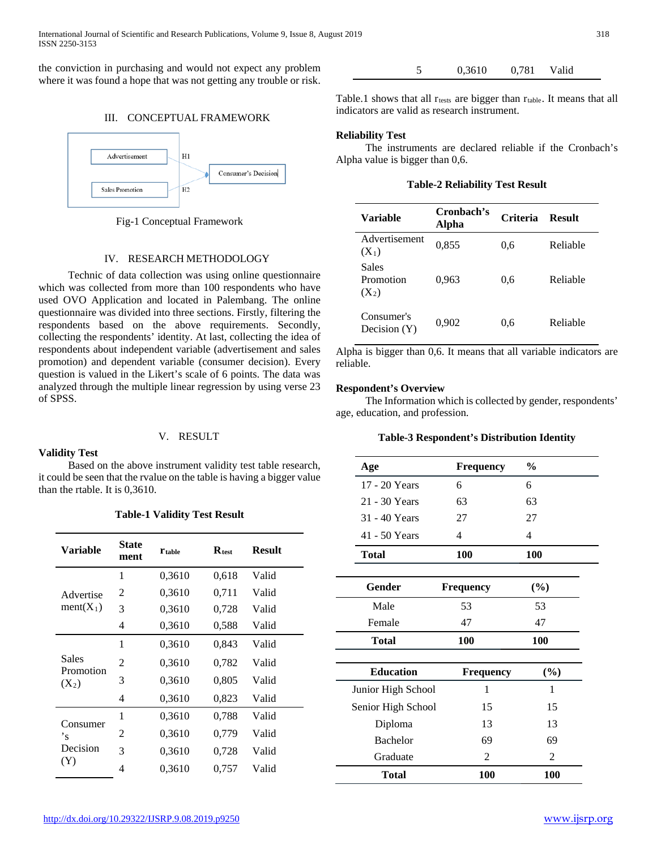the conviction in purchasing and would not expect any problem where it was found a hope that was not getting any trouble or risk.

## III. CONCEPTUAL FRAMEWORK



Fig-1 Conceptual Framework

## IV. RESEARCH METHODOLOGY

 Technic of data collection was using online questionnaire which was collected from more than 100 respondents who have used OVO Application and located in Palembang. The online questionnaire was divided into three sections. Firstly, filtering the respondents based on the above requirements. Secondly, collecting the respondents' identity. At last, collecting the idea of respondents about independent variable (advertisement and sales promotion) and dependent variable (consumer decision). Every question is valued in the Likert's scale of 6 points. The data was analyzed through the multiple linear regression by using verse 23 of SPSS.

## V. RESULT

#### **Validity Test**

 Based on the above instrument validity test table research, it could be seen that the rvalue on the table is having a bigger value than the rtable. It is 0,3610.

## **Table-1 Validity Test Result**

| Variable                  | <b>State</b><br>ment | <b>T</b> table | $\mathbf{R}_{\text{test}}$ | <b>Result</b> |
|---------------------------|----------------------|----------------|----------------------------|---------------|
|                           | 1                    | 0.3610         | 0,618                      | Valid         |
| Advertise                 | 2                    | 0.3610         | 0,711                      | Valid         |
| $ment(X_1)$               | 3                    | 0.3610         | 0,728                      | Valid         |
|                           | 4                    | 0,3610         | 0,588                      | Valid         |
|                           | 1                    | 0.3610         | 0,843                      | Valid         |
| <b>Sales</b><br>Promotion | 2                    | 0.3610         | 0,782                      | Valid         |
| $(X_2)$                   | 3                    | 0.3610         | 0,805                      | Valid         |
|                           | 4                    | 0.3610         | 0,823                      | Valid         |
| Consumer                  | 1                    | 0.3610         | 0,788                      | Valid         |
| 's                        | 2                    | 0.3610         | 0,779                      | Valid         |
| Decision                  | 3                    | 0.3610         | 0,728                      | Valid         |
| (Y)                       | 4                    | 0.3610         | 0,757                      | Valid         |

5 0,3610 0,781 Valid

Table.1 shows that all  $r_{\text{tests}}$  are bigger than  $r_{\text{table}}$ . It means that all indicators are valid as research instrument.

## **Reliability Test**

 The instruments are declared reliable if the Cronbach's Alpha value is bigger than 0,6.

**Table-2 Reliability Test Result**

| Variable                      | Cronbach's<br>Alpha | Criteria | <b>Result</b> |
|-------------------------------|---------------------|----------|---------------|
| Advertisement<br>$(X_1)$      | 0,855               | 0,6      | Reliable      |
| Sales<br>Promotion<br>$(X_2)$ | 0,963               | 0,6      | Reliable      |
| Consumer's<br>Decision $(Y)$  | 0,902               | 0.6      | Reliable      |

Alpha is bigger than 0,6. It means that all variable indicators are reliable.

## **Respondent's Overview**

 The Information which is collected by gender, respondents' age, education, and profession.

## **Table-3 Respondent's Distribution Identity**

| Age                | Frequency        | $\frac{0}{0}$  |  |
|--------------------|------------------|----------------|--|
| 17 - 20 Years      | 6                | 6              |  |
| 21 - 30 Years      | 63               | 63             |  |
| 31 - 40 Years      | 27               | 27             |  |
| 41 - 50 Years      | 4                | 4              |  |
| <b>Total</b>       | <b>100</b>       | 100            |  |
|                    |                  |                |  |
| Gender             | <b>Frequency</b> | (%)            |  |
| Male               | 53               | 53             |  |
| Female             | 47               | 47             |  |
| <b>Total</b>       | 100              | 100            |  |
|                    |                  |                |  |
| <b>Education</b>   | <b>Frequency</b> | $(\%)$         |  |
| Junior High School | 1                | 1              |  |
| Senior High School | 15               | 15             |  |
| Diploma            | 13               | 13             |  |
| <b>Bachelor</b>    | 69               | 69             |  |
| Graduate           | $\overline{2}$   | $\overline{2}$ |  |
| <b>Total</b>       | 100              | <b>100</b>     |  |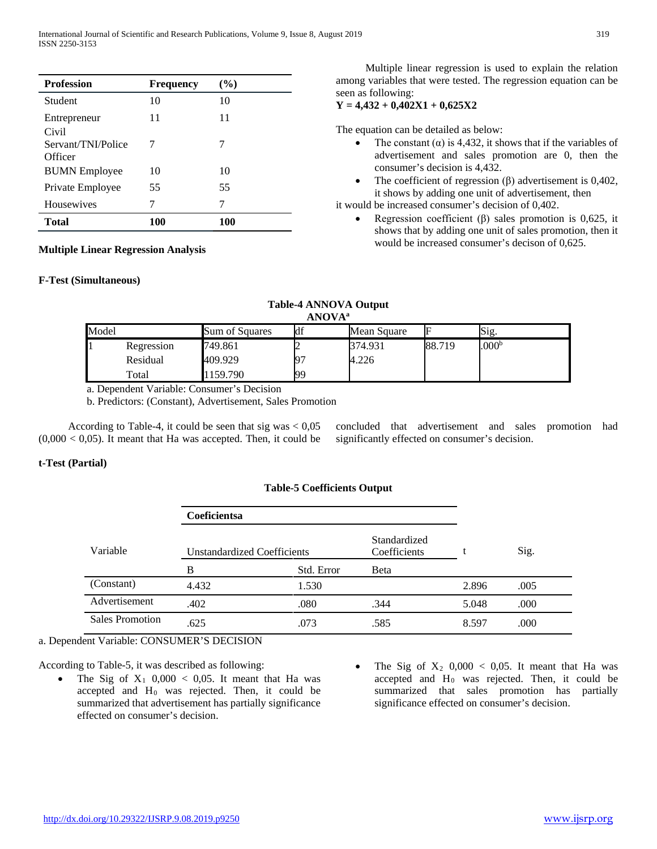| <b>Profession</b>                      | <b>Frequency</b> | (%)        |
|----------------------------------------|------------------|------------|
| Student                                | 10               | 10         |
| Entrepreneur                           | 11               | 11         |
| Civil<br>Servant/TNI/Police<br>Officer | 7                | 7          |
| <b>BUMN</b> Employee                   | 10               | 10         |
| Private Employee                       | 55               | 55         |
| Housewives                             | 7                | 7          |
| <b>Total</b>                           | 100              | <b>100</b> |

**Multiple Linear Regression Analysis**

## **F-Test (Simultaneous)**

 Multiple linear regression is used to explain the relation among variables that were tested. The regression equation can be seen as following:

## **Y = 4,432 + 0,402X1 + 0,625X2**

The equation can be detailed as below:

- The constant  $(\alpha)$  is 4,432, it shows that if the variables of advertisement and sales promotion are 0, then the consumer's decision is 4,432.
- The coefficient of regression  $(\beta)$  advertisement is 0,402, it shows by adding one unit of advertisement, then

it would be increased consumer's decision of 0,402.

Regression coefficient  $(\beta)$  sales promotion is 0,625, it shows that by adding one unit of sales promotion, then it would be increased consumer's decison of 0,625.

#### **Table-4 ANNOVA Output ANOVAa**

|       | AIW VA     |                |     |             |        |                   |  |
|-------|------------|----------------|-----|-------------|--------|-------------------|--|
| Model |            | Sum of Squares | df  | Mean Square |        | Sig.              |  |
|       | Regression | 749.861        |     | 374.931     | 88.719 | .000 <sup>b</sup> |  |
|       | Residual   | 409.929        | IQ′ | 4.226       |        |                   |  |
|       | Total      | 159.790        | 99  |             |        |                   |  |

a. Dependent Variable: Consumer's Decision

b. Predictors: (Constant), Advertisement, Sales Promotion

According to Table-4, it could be seen that sig was  $< 0.05$  $(0,000 < 0,05)$ . It meant that Ha was accepted. Then, it could be

concluded that advertisement and sales promotion had significantly effected on consumer's decision.

## **t-Test (Partial)**

## **Table-5 Coefficients Output**

|                 | <b>Coeficientsa</b>         |            |                              |       |      |
|-----------------|-----------------------------|------------|------------------------------|-------|------|
| Variable        | Unstandardized Coefficients |            | Standardized<br>Coefficients |       | Sig. |
|                 | B                           | Std. Error | Beta                         |       |      |
| (Constant)      | 4.432                       | 1.530      |                              | 2.896 | .005 |
| Advertisement   | .402                        | .080       | .344                         | 5.048 | .000 |
| Sales Promotion | .625                        | .073       | .585                         | 8.597 | .000 |

a. Dependent Variable: CONSUMER'S DECISION

According to Table-5, it was described as following:

- The Sig of  $X_1$  0,000 < 0,05. It meant that Ha was accepted and  $H_0$  was rejected. Then, it could be summarized that advertisement has partially significance effected on consumer's decision.
- The Sig of  $X_2$  0,000 < 0,05. It meant that Ha was accepted and  $H_0$  was rejected. Then, it could be summarized that sales promotion has partially significance effected on consumer's decision.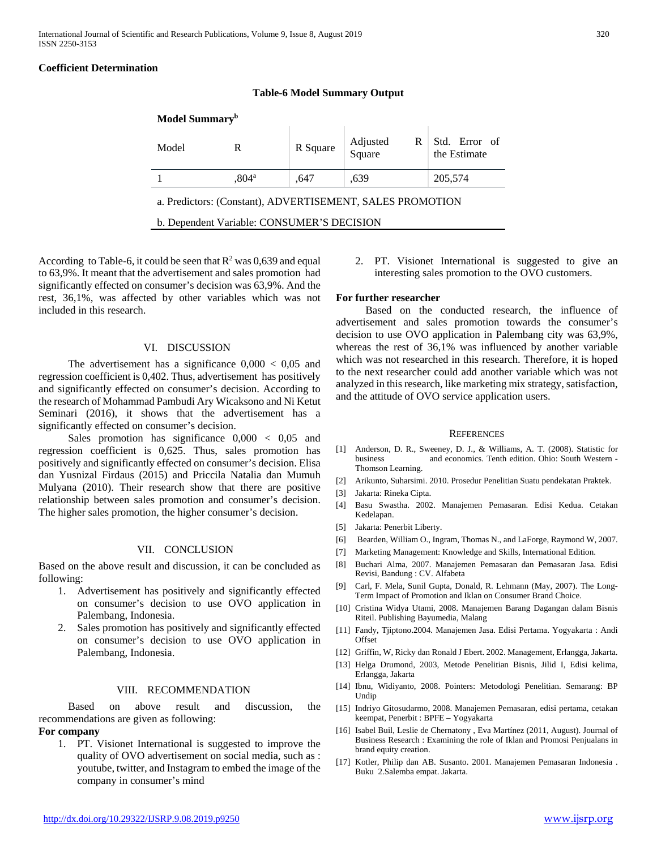#### **Coefficient Determination**

| Model Summary <sup>b</sup> |                     |          |                         |                               |  |  |
|----------------------------|---------------------|----------|-------------------------|-------------------------------|--|--|
| Model                      | R                   | R Square | Adjusted<br>Square<br>R | Std. Error of<br>the Estimate |  |  |
|                            | $.804^{\mathrm{a}}$ | .647     | .639                    | 205,574                       |  |  |
|                            |                     |          |                         |                               |  |  |

**Table-6 Model Summary Output**

a. Predictors: (Constant), ADVERTISEMENT, SALES PROMOTION

b. Dependent Variable: CONSUMER'S DECISION

According to Table-6, it could be seen that  $R^2$  was 0,639 and equal to 63,9%. It meant that the advertisement and sales promotion had significantly effected on consumer's decision was 63,9%. And the rest, 36,1%, was affected by other variables which was not included in this research.

#### VI. DISCUSSION

The advertisement has a significance  $0,000 < 0,05$  and regression coefficient is 0,402. Thus, advertisement has positively and significantly effected on consumer's decision. According to the research of Mohammad Pambudi Ary Wicaksono and Ni Ketut Seminari (2016), it shows that the advertisement has a significantly effected on consumer's decision.

 Sales promotion has significance 0,000 < 0,05 and regression coefficient is 0,625. Thus, sales promotion has positively and significantly effected on consumer's decision. Elisa dan Yusnizal Firdaus (2015) and Priccila Natalia dan Mumuh Mulyana (2010). Their research show that there are positive relationship between sales promotion and consumer's decision. The higher sales promotion, the higher consumer's decision.

#### VII. CONCLUSION

Based on the above result and discussion, it can be concluded as following:

- 1. Advertisement has positively and significantly effected on consumer's decision to use OVO application in Palembang, Indonesia.
- Sales promotion has positively and significantly effected on consumer's decision to use OVO application in Palembang, Indonesia.

#### VIII. RECOMMENDATION

 Based on above result and discussion, the recommendations are given as following:

#### **For company**

1. PT. Visionet International is suggested to improve the quality of OVO advertisement on social media, such as : youtube, twitter, and Instagram to embed the image of the company in consumer's mind

2. PT. Visionet International is suggested to give an interesting sales promotion to the OVO customers.

#### **For further researcher**

 Based on the conducted research, the influence of advertisement and sales promotion towards the consumer's decision to use OVO application in Palembang city was 63,9%, whereas the rest of 36,1% was influenced by another variable which was not researched in this research. Therefore, it is hoped to the next researcher could add another variable which was not analyzed in this research, like marketing mix strategy, satisfaction, and the attitude of OVO service application users.

#### **REFERENCES**

- [1] Anderson, D. R., Sweeney, D. J., & Williams, A. T. (2008). Statistic for and economics. Tenth edition. Ohio: South Western -Thomson Learning.
- [2] Arikunto, Suharsimi. 2010. Prosedur Penelitian Suatu pendekatan Praktek.
- [3] Jakarta: Rineka Cipta.
- [4] Basu Swastha. 2002. Manajemen Pemasaran. Edisi Kedua. Cetakan Kedelapan.
- [5] Jakarta: Penerbit Liberty.
- [6] Bearden, William O., Ingram, Thomas N., and LaForge, Raymond W, 2007.
- [7] Marketing Management: Knowledge and Skills, International Edition.
- [8] Buchari Alma, 2007. Manajemen Pemasaran dan Pemasaran Jasa. Edisi Revisi, Bandung : CV. Alfabeta
- [9] Carl, F. Mela, Sunil Gupta, Donald, R. Lehmann (May, 2007). The Long-Term Impact of Promotion and Iklan on Consumer Brand Choice.
- [10] Cristina Widya Utami, 2008. Manajemen Barang Dagangan dalam Bisnis Riteil. Publishing Bayumedia, Malang
- [11] Fandy, Tjiptono.2004. Manajemen Jasa. Edisi Pertama. Yogyakarta : Andi **Offset**
- [12] Griffin, W, Ricky dan Ronald J Ebert. 2002. Management, Erlangga, Jakarta.
- [13] Helga Drumond, 2003, Metode Penelitian Bisnis, Jilid I, Edisi kelima, Erlangga, Jakarta
- [14] Ibnu, Widiyanto, 2008. Pointers: Metodologi Penelitian. Semarang: BP Undip
- [15] Indriyo Gitosudarmo, 2008. Manajemen Pemasaran, edisi pertama, cetakan keempat, Penerbit : BPFE – Yogyakarta
- [16] Isabel Buil, Leslie de Chernatony, Eva Martínez (2011, August). Journal of Business Research : Examining the role of Iklan and Promosi Penjualans in brand equity creation.
- [17] Kotler, Philip dan AB. Susanto. 2001. Manajemen Pemasaran Indonesia . Buku 2.Salemba empat. Jakarta.